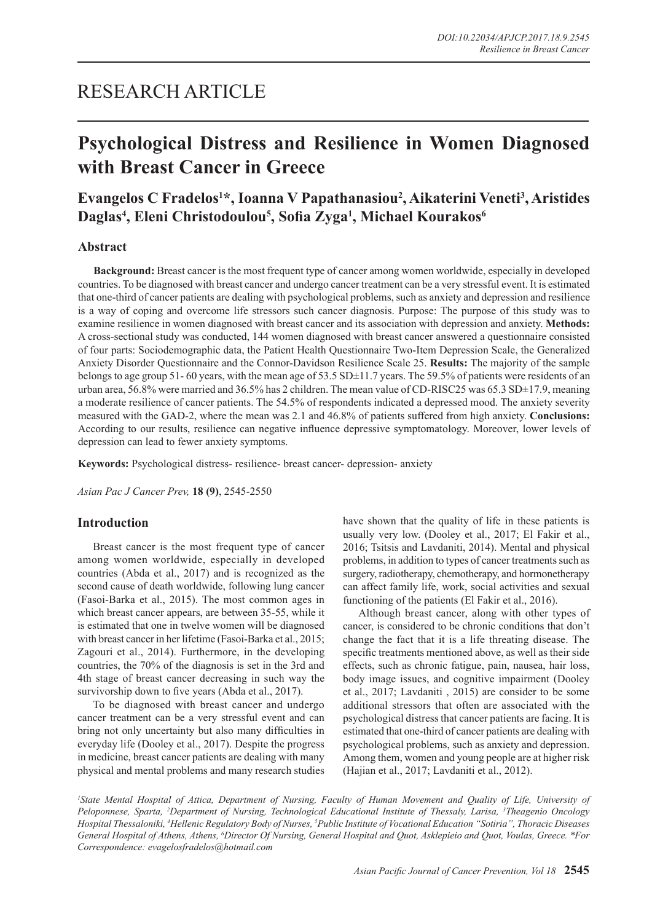## RESEARCH ARTICLE

# **Psychological Distress and Resilience in Women Diagnosed with Breast Cancer in Greece**

## Evangelos C Fradelos<sup>1\*</sup>, Ioanna V Papathanasiou<sup>2</sup>, Aikaterini Veneti<sup>3</sup>, Aristides **Daglas4 , Eleni Christodoulou5 , Sofia Zyga<sup>1</sup> , Michael Kourakos6**

### **Abstract**

**Background:** Breast cancer is the most frequent type of cancer among women worldwide, especially in developed countries. To be diagnosed with breast cancer and undergo cancer treatment can be a very stressful event. It is estimated that one-third of cancer patients are dealing with psychological problems, such as anxiety and depression and resilience is a way of coping and overcome life stressors such cancer diagnosis. Purpose: The purpose of this study was to examine resilience in women diagnosed with breast cancer and its association with depression and anxiety. **Methods:**  A cross-sectional study was conducted, 144 women diagnosed with breast cancer answered a questionnaire consisted of four parts: Sociodemographic data, the Patient Health Questionnaire Two-Item Depression Scale, the Generalized Anxiety Disorder Questionnaire and the Connor-Davidson Resilience Scale 25. **Results:** The majority of the sample belongs to age group 51-60 years, with the mean age of 53.5 SD±11.7 years. The 59.5% of patients were residents of an urban area, 56.8% were married and 36.5% has 2 children. The mean value of CD-RISC25 was 65.3 SD±17.9, meaning a moderate resilience of cancer patients. The 54.5% of respondents indicated a depressed mood. The anxiety severity measured with the GAD-2, where the mean was 2.1 and 46.8% of patients suffered from high anxiety. **Conclusions:**  According to our results, resilience can negative influence depressive symptomatology. Moreover, lower levels of depression can lead to fewer anxiety symptoms.

**Keywords:** Psychological distress- resilience- breast cancer- depression- anxiety

*Asian Pac J Cancer Prev,* **18 (9)**, 2545-2550

## **Introduction**

Breast cancer is the most frequent type of cancer among women worldwide, especially in developed countries (Abda et al., 2017) and is recognized as the second cause of death worldwide, following lung cancer (Fasoi-Barka et al., 2015). The most common ages in which breast cancer appears, are between 35-55, while it is estimated that one in twelve women will be diagnosed with breast cancer in her lifetime (Fasoi-Barka et al., 2015; Zagouri et al., 2014). Furthermore, in the developing countries, the 70% of the diagnosis is set in the 3rd and 4th stage of breast cancer decreasing in such way the survivorship down to five years (Abda et al., 2017).

To be diagnosed with breast cancer and undergo cancer treatment can be a very stressful event and can bring not only uncertainty but also many difficulties in everyday life (Dooley et al., 2017). Despite the progress in medicine, breast cancer patients are dealing with many physical and mental problems and many research studies have shown that the quality of life in these patients is usually very low. (Dooley et al., 2017; El Fakir et al., 2016; Tsitsis and Lavdaniti, 2014). Mental and physical problems, in addition to types of cancer treatments such as surgery, radiotherapy, chemotherapy, and hormonetherapy can affect family life, work, social activities and sexual functioning of the patients (El Fakir et al., 2016).

Although breast cancer, along with other types of cancer, is considered to be chronic conditions that don't change the fact that it is a life threating disease. The specific treatments mentioned above, as well as their side effects, such as chronic fatigue, pain, nausea, hair loss, body image issues, and cognitive impairment (Dooley et al., 2017; Lavdaniti , 2015) are consider to be some additional stressors that often are associated with the psychological distress that cancer patients are facing. It is estimated that one-third of cancer patients are dealing with psychological problems, such as anxiety and depression. Among them, women and young people are at higher risk (Hajian et al., 2017; Lavdaniti et al., 2012).

<sup>1</sup> State Mental Hospital of Attica, Department of Nursing, Faculty of Human Movement and Quality of Life, University of *Peloponnese, Sparta, 2 Department of Nursing, Technological Educational Institute of Thessaly, Larisa, 3 Theagenio Oncology Hospital Thessaloniki, 4 Hellenic Regulatory Body of Nurses, 5 Public Institute of Vocational Education "Sotiria", Thoracic Diseases General Hospital of Athens, Athens, 6 Director Of Nursing, General Hospital and Quot, Asklepieio and Quot, Voulas, Greece. \*For Correspondence: evagelosfradelos@hotmail.com*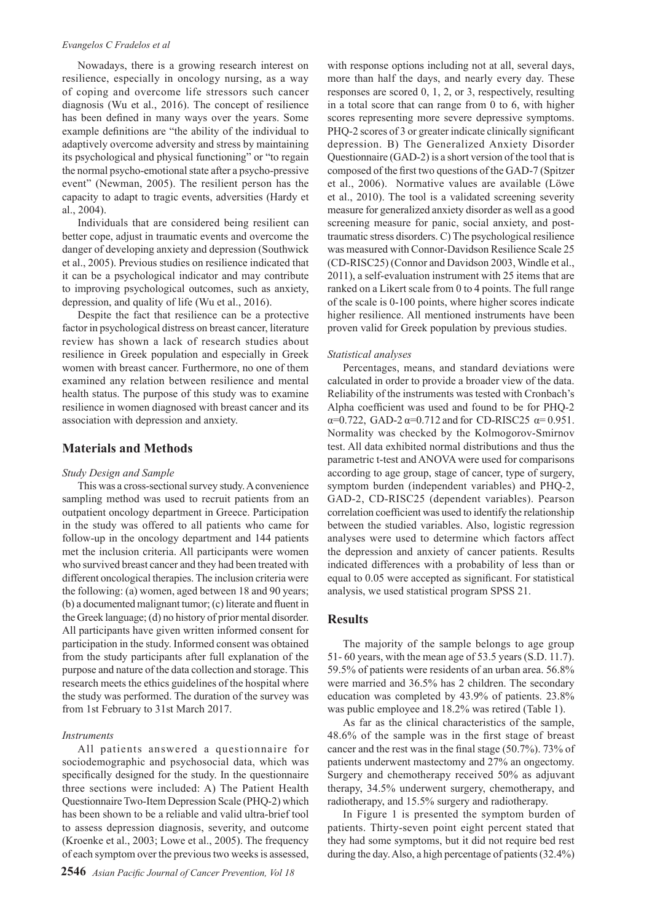#### *Evangelos C Fradelos et al*

Nowadays, there is a growing research interest on resilience, especially in oncology nursing, as a way of coping and overcome life stressors such cancer diagnosis (Wu et al., 2016). The concept of resilience has been defined in many ways over the years. Some example definitions are "the ability of the individual to adaptively overcome adversity and stress by maintaining its psychological and physical functioning" or "to regain the normal psycho-emotional state after a psycho-pressive event" (Newman, 2005). The resilient person has the capacity to adapt to tragic events, adversities (Hardy et al., 2004).

Individuals that are considered being resilient can better cope, adjust in traumatic events and overcome the danger of developing anxiety and depression (Southwick et al., 2005). Previous studies on resilience indicated that it can be a psychological indicator and may contribute to improving psychological outcomes, such as anxiety, depression, and quality of life (Wu et al., 2016).

Despite the fact that resilience can be a protective factor in psychological distress on breast cancer, literature review has shown a lack of research studies about resilience in Greek population and especially in Greek women with breast cancer. Furthermore, no one of them examined any relation between resilience and mental health status. The purpose of this study was to examine resilience in women diagnosed with breast cancer and its association with depression and anxiety.

### **Materials and Methods**

#### *Study Design and Sample*

This was a cross-sectional survey study. A convenience sampling method was used to recruit patients from an outpatient oncology department in Greece. Participation in the study was offered to all patients who came for follow-up in the oncology department and 144 patients met the inclusion criteria. All participants were women who survived breast cancer and they had been treated with different oncological therapies. The inclusion criteria were the following: (a) women, aged between 18 and 90 years; (b) a documented malignant tumor; (c) literate and fluent in the Greek language; (d) no history of prior mental disorder. All participants have given written informed consent for participation in the study. Informed consent was obtained from the study participants after full explanation of the purpose and nature of the data collection and storage. This research meets the ethics guidelines of the hospital where the study was performed. The duration of the survey was from 1st February to 31st March 2017.

#### *Instruments*

All patients answered a questionnaire for sociodemographic and psychosocial data, which was specifically designed for the study. In the questionnaire three sections were included: A) The Patient Health Questionnaire Two-Item Depression Scale (PHQ-2) which has been shown to be a reliable and valid ultra-brief tool to assess depression diagnosis, severity, and outcome (Kroenke et al., 2003; Lowe et al., 2005). The frequency of each symptom over the previous two weeks is assessed,

with response options including not at all, several days, more than half the days, and nearly every day. These responses are scored 0, 1, 2, or 3, respectively, resulting in a total score that can range from 0 to 6, with higher scores representing more severe depressive symptoms. PHQ-2 scores of 3 or greater indicate clinically significant depression. B) The Generalized Anxiety Disorder Questionnaire (GAD-2) is a short version of the tool that is composed of the first two questions of the GAD-7 (Spitzer et al., 2006). Normative values are available (Löwe et al., 2010). The tool is a validated screening severity measure for generalized anxiety disorder as well as a good screening measure for panic, social anxiety, and posttraumatic stress disorders. C) The psychological resilience was measured with Connor-Davidson Resilience Scale 25 (CD-RISC25) (Connor and Davidson 2003, Windle et al., 2011), a self-evaluation instrument with 25 items that are ranked on a Likert scale from 0 to 4 points. The full range of the scale is 0-100 points, where higher scores indicate higher resilience. All mentioned instruments have been proven valid for Greek population by previous studies.

#### *Statistical analyses*

Percentages, means, and standard deviations were calculated in order to provide a broader view of the data. Reliability of the instruments was tested with Cronbach's Alpha coefficient was used and found to be for PHQ-2 α=0.722, GAD-2 α=0.712 and for CD-RISC25 α= 0.951. Normality was checked by the Kolmogorov-Smirnov test. All data exhibited normal distributions and thus the parametric t-test and ANOVA were used for comparisons according to age group, stage of cancer, type of surgery, symptom burden (independent variables) and PHQ-2, GAD-2, CD-RISC25 (dependent variables). Pearson correlation coefficient was used to identify the relationship between the studied variables. Also, logistic regression analyses were used to determine which factors affect the depression and anxiety of cancer patients. Results indicated differences with a probability of less than or equal to 0.05 were accepted as significant. For statistical analysis, we used statistical program SPSS 21.

#### **Results**

The majority of the sample belongs to age group 51- 60 years, with the mean age of 53.5 years (S.D. 11.7). 59.5% of patients were residents of an urban area. 56.8% were married and 36.5% has 2 children. The secondary education was completed by 43.9% of patients. 23.8% was public employee and 18.2% was retired (Table 1).

As far as the clinical characteristics of the sample, 48.6% of the sample was in the first stage of breast cancer and the rest was in the final stage (50.7%). 73% of patients underwent mastectomy and 27% an ongectomy. Surgery and chemotherapy received 50% as adjuvant therapy, 34.5% underwent surgery, chemotherapy, and radiotherapy, and 15.5% surgery and radiotherapy.

In Figure 1 is presented the symptom burden of patients. Thirty-seven point eight percent stated that they had some symptoms, but it did not require bed rest during the day. Also, a high percentage of patients (32.4%)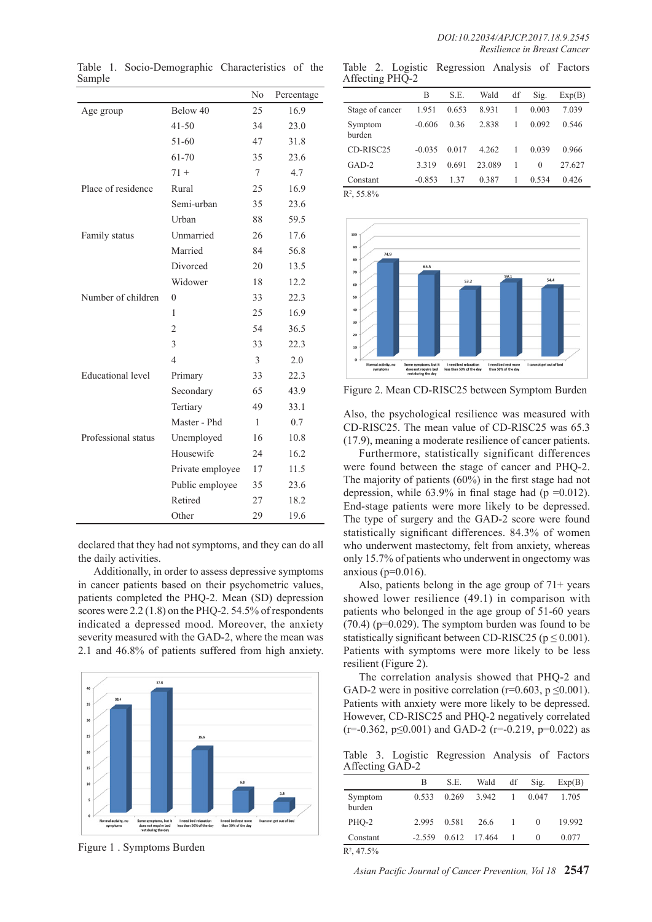|                          |                  | N <sub>0</sub> | Percentage |
|--------------------------|------------------|----------------|------------|
| Age group                | Below 40         | 25             | 16.9       |
|                          | $41 - 50$        | 34             | 23.0       |
|                          | $51 - 60$        | 47             | 31.8       |
|                          | 61-70            | 35             | 23.6       |
|                          | $71 +$           | 7              | 4.7        |
| Place of residence       | Rural            | 25             | 16.9       |
|                          | Semi-urban       | 35             | 23.6       |
|                          | Urban            | 88             | 59.5       |
| Family status            | Unmarried        | 26             | 17.6       |
|                          | Married          | 84             | 56.8       |
|                          | Divorced         | 20             | 13.5       |
|                          | Widower          | 18             | 12.2       |
| Number of children       | 0                | 33             | 22.3       |
|                          | 1                | 25             | 16.9       |
|                          | $\overline{2}$   | 54             | 36.5       |
|                          | 3                | 33             | 22.3       |
|                          | 4                | 3              | 2.0        |
| <b>Educational level</b> | Primary          | 33             | 22.3       |
|                          | Secondary        | 65             | 43.9       |
|                          | Tertiary         | 49             | 33.1       |
|                          | Master - Phd     | 1              | 0.7        |
| Professional status      | Unemployed       | 16             | 10.8       |
|                          | Housewife        | 24             | 16.2       |
|                          | Private employee | 17             | 11.5       |
|                          | Public employee  | 35             | 23.6       |
|                          | Retired          | 27             | 18.2       |
|                          | Other            | 29             | 19.6       |

Table 1. Socio-Demographic Characteristics of the Sample

Table 2. Logistic Regression Analysis of Factors Affecting PHQ-2

|                   | B        | S.E.  | Wald   | df | Sig.     | Exp(B) |
|-------------------|----------|-------|--------|----|----------|--------|
| Stage of cancer   | 1.951    | 0.653 | 8.931  |    | 0.003    | 7.039  |
| Symptom<br>burden | $-0.606$ | 0.36  | 2.838  | 1  | 0.092    | 0.546  |
| $CD-RISC25$       | $-0.035$ | 0.017 | 4.262  | 1  | 0.039    | 0.966  |
| $GAD-2$           | 3.319    | 0.691 | 23.089 |    | $\Omega$ | 27.627 |
| Constant          | $-0.853$ | 1.37  | 0.387  | 1  | 0.534    | 0.426  |
|                   |          |       |        |    |          |        |

 $R^2$ , 55.8%



Figure 2. Mean CD-RISC25 between Symptom Burden

Also, the psychological resilience was measured with CD-RISC25. The mean value of CD-RISC25 was 65.3 (17.9), meaning a moderate resilience of cancer patients.

Furthermore, statistically significant differences were found between the stage of cancer and PHQ-2. The majority of patients (60%) in the first stage had not depression, while  $63.9\%$  in final stage had (p = 0.012). End-stage patients were more likely to be depressed. The type of surgery and the GAD-2 score were found statistically significant differences. 84.3% of women who underwent mastectomy, felt from anxiety, whereas only 15.7% of patients who underwent in ongectomy was anxious ( $p=0.016$ ).

Also, patients belong in the age group of  $71+$  years showed lower resilience (49.1) in comparison with patients who belonged in the age group of 51-60 years (70.4) (p=0.029). The symptom burden was found to be statistically significant between CD-RISC25 ( $p \le 0.001$ ). Patients with symptoms were more likely to be less resilient (Figure 2).

The correlation analysis showed that PHQ-2 and GAD-2 were in positive correlation ( $r=0.603$ ,  $p \le 0.001$ ). Patients with anxiety were more likely to be depressed. However, CD-RISC25 and PHQ-2 negatively correlated  $(r=0.362, p\leq 0.001)$  and GAD-2  $(r=0.219, p=0.022)$  as

Table 3. Logistic Regression Analysis of Factors Affecting GAD-2

|                   | B        | S.E.  | Wald         | df | Sig.     | Exp(B) |
|-------------------|----------|-------|--------------|----|----------|--------|
| Symptom<br>burden | 0.533    | 0.269 | 3.942        |    | 0.047    | 1.705  |
| PHO-2             | 2.995    | 0.581 | 26.6         |    | $\theta$ | 19.992 |
| Constant          | $-2.559$ |       | 0.612 17.464 |    | $\theta$ | 0.077  |
|                   |          |       |              |    |          |        |

 $R^2$ , 47.5%

*Asian Pacific Journal of Cancer Prevention, Vol 18* **2547**

declared that they had not symptoms, and they can do all the daily activities.

Additionally, in order to assess depressive symptoms in cancer patients based on their psychometric values, patients completed the PHQ-2. Mean (SD) depression scores were 2.2 (1.8) on the PHQ-2. 54.5% of respondents indicated a depressed mood. Moreover, the anxiety severity measured with the GAD-2, where the mean was 2.1 and 46.8% of patients suffered from high anxiety.



Figure 1 . Symptoms Burden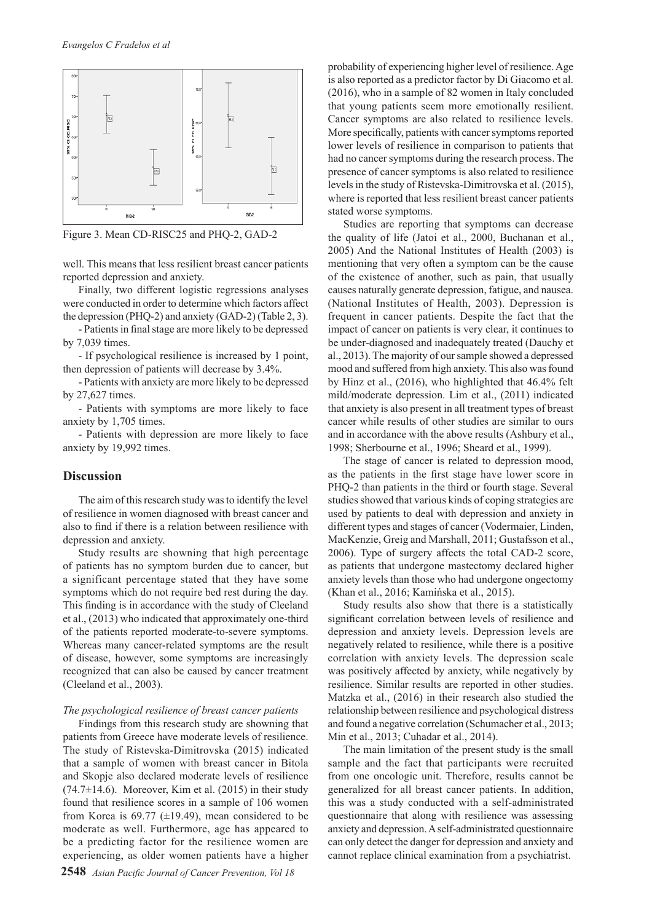

Figure 3. Mean CD-RISC25 and PHQ-2, GAD-2

well. This means that less resilient breast cancer patients reported depression and anxiety.

Finally, two different logistic regressions analyses were conducted in order to determine which factors affect the depression (PHQ-2) and anxiety (GAD-2) (Table 2, 3).

- Patients in final stage are more likely to be depressed by 7,039 times.

- If psychological resilience is increased by 1 point, then depression of patients will decrease by 3.4%.

- Patients with anxiety are more likely to be depressed by 27,627 times.

- Patients with symptoms are more likely to face anxiety by 1,705 times.

- Patients with depression are more likely to face anxiety by 19,992 times.

#### **Discussion**

The aim of this research study was to identify the level of resilience in women diagnosed with breast cancer and also to find if there is a relation between resilience with depression and anxiety.

Study results are showning that high percentage of patients has no symptom burden due to cancer, but a significant percentage stated that they have some symptoms which do not require bed rest during the day. This finding is in accordance with the study of Cleeland et al., (2013) whο indicated that approximately one-third of the patients reported moderate-to-severe symptoms. Whereas many cancer-related symptoms are the result of disease, however, some symptoms are increasingly recognized that can also be caused by cancer treatment (Cleeland et al., 2003).

#### *The psychological resilience of breast cancer patients*

Findings from this research study are showning that patients from Greece have moderate levels of resilience. The study of Ristevska-Dimitrovska (2015) indicated that a sample of women with breast cancer in Bitola and Skopje also declared moderate levels of resilience  $(74.7\pm14.6)$ . Moreover, Kim et al. (2015) in their study found that resilience scores in a sample of 106 women from Korea is  $69.77$  ( $\pm$ 19.49), mean considered to be moderate as well. Furthermore, age has appeared to be a predicting factor for the resilience women are experiencing, as older women patients have a higher

probability of experiencing higher level of resilience. Age is also reported as a predictor factor by Di Giacomo et al. (2016), who in a sample of 82 women in Italy concluded that young patients seem more emotionally resilient. Cancer symptoms are also related to resilience levels. More specifically, patients with cancer symptoms reported lower levels of resilience in comparison to patients that had no cancer symptoms during the research process. The presence of cancer symptoms is also related to resilience levels in the study of Ristevska-Dimitrovska et al. (2015), where is reported that less resilient breast cancer patients stated worse symptoms.

Studies are reporting that symptoms can decrease the quality of life (Jatoi et al., 2000, Buchanan et al., 2005) And the National Institutes of Health (2003) is mentioning that very often a symptom can be the cause of the existence of another, such as pain, that usually causes naturally generate depression, fatigue, and nausea. (National Institutes of Health, 2003). Depression is frequent in cancer patients. Despite the fact that the impact of cancer on patients is very clear, it continues to be under-diagnosed and inadequately treated (Dauchy et al., 2013). The majority of our sample showed a depressed mood and suffered from high anxiety. This also was found by Hinz et al., (2016), who highlighted that 46.4% felt mild/moderate depression. Lim et al., (2011) indicated that anxiety is also present in all treatment types of breast cancer while results of other studies are similar to ours and in accordance with the above results (Ashbury et al., 1998; Sherbourne et al., 1996; Sheard et al., 1999).

The stage of cancer is related to depression mood, as the patients in the first stage have lower score in PHQ-2 than patients in the third or fourth stage. Several studies showed that various kinds of coping strategies are used by patients to deal with depression and anxiety in different types and stages of cancer (Vodermaier, Linden, MacKenzie, Greig and Marshall, 2011; Gustafsson et al., 2006). Type of surgery affects the total CAD-2 score, as patients that undergone mastectomy declared higher anxiety levels than those who had undergone ongectomy (Khan et al., 2016; Kamińska et al., 2015).

Study results also show that there is a statistically significant correlation between levels of resilience and depression and anxiety levels. Depression levels are negatively related to resilience, while there is a positive correlation with anxiety levels. The depression scale was positively affected by anxiety, while negatively by resilience. Similar results are reported in other studies. Matzka et al., (2016) in their research also studied the relationship between resilience and psychological distress and found a negative correlation (Schumacher et al., 2013; Min et al., 2013; Cuhadar et al., 2014).

The main limitation of the present study is the small sample and the fact that participants were recruited from one oncologic unit. Therefore, results cannot be generalized for all breast cancer patients. In addition, this was a study conducted with a self-administrated questionnaire that along with resilience was assessing anxiety and depression. A self-administrated questionnaire can only detect the danger for depression and anxiety and cannot replace clinical examination from a psychiatrist.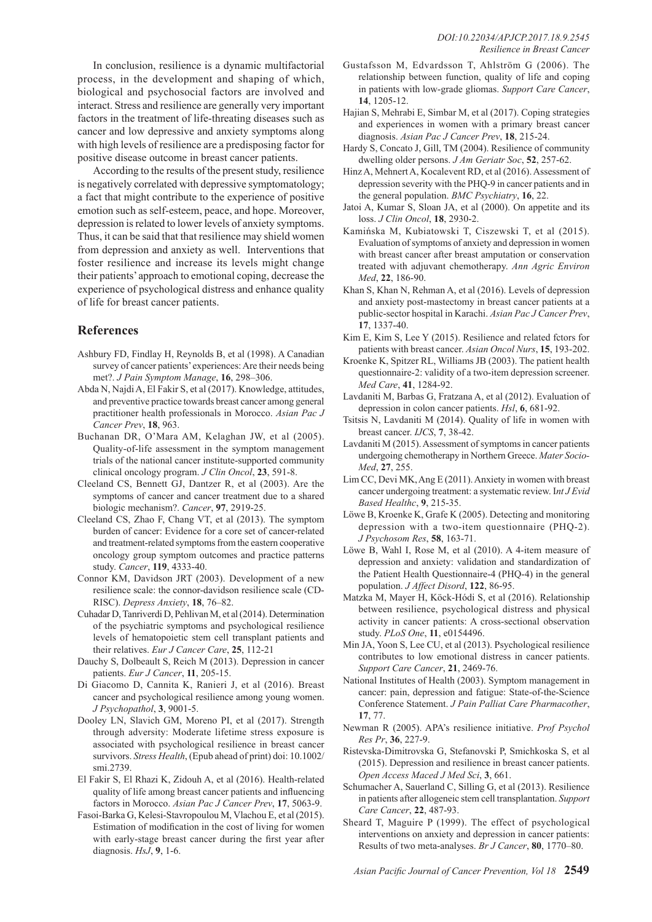In conclusion, resilience is a dynamic multifactorial process, in the development and shaping of which, biological and psychosocial factors are involved and interact. Stress and resilience are generally very important factors in the treatment of life-threating diseases such as cancer and low depressive and anxiety symptoms along with high levels of resilience are a predisposing factor for positive disease outcome in breast cancer patients.

According to the results of the present study, resilience is negatively correlated with depressive symptomatology; a fact that might contribute to the experience of positive emotion such as self-esteem, peace, and hope. Moreover, depression is related to lower levels of anxiety symptoms. Thus, it can be said that that resilience may shield women from depression and anxiety as well. Interventions that foster resilience and increase its levels might change their patients' approach to emotional coping, decrease the experience of psychological distress and enhance quality of life for breast cancer patients.

## **References**

- Ashbury FD, Findlay H, Reynolds B, et al (1998). A Canadian survey of cancer patients' experiences: Are their needs being met?. *J Pain Symptom Manage*, **16**, 298–306.
- Abda N, Najdi A, El Fakir S, et al (2017). Knowledge, attitudes, and preventive practice towards breast cancer among general practitioner health professionals in Morocco. *Asian Pac J Cancer Prev*, **18**, 963.
- Buchanan DR, O'Mara AM, Kelaghan JW, et al (2005). Quality-of-life assessment in the symptom management trials of the national cancer institute-supported community clinical oncology program. *J Clin Oncol*, **23**, 591-8.
- Cleeland CS, Bennett GJ, Dantzer R, et al (2003). Are the symptoms of cancer and cancer treatment due to a shared biologic mechanism?. *Cancer*, **97**, 2919-25.
- Cleeland CS, Zhao F, Chang VT, et al (2013). The symptom burden of cancer: Evidence for a core set of cancer-related and treatment-related symptoms from the eastern cooperative oncology group symptom outcomes and practice patterns study. *Cancer*, **119**, 4333-40.
- Connor KM, Davidson JRT (2003). Development of a new resilience scale: the connor-davidson resilience scale (CD-RISC). *Depress Anxiety*, **18**, 76–82.
- Cuhadar D, Tanriverdi D, Pehlivan M, et al (2014). Determination of the psychiatric symptoms and psychological resilience levels of hematopoietic stem cell transplant patients and their relatives. *Eur J Cancer Care*, **25**, 112-21
- Dauchy S, Dolbeault S, Reich M (2013). Depression in cancer patients. *Eur J Cancer*, **11**, 205-15.
- Di Giacomo D, Cannita K, Ranieri J, et al (2016). Breast cancer and psychological resilience among young women. *J Psychopathol*, **3**, 9001-5.
- Dooley LN, Slavich GM, Moreno PI, et al (2017). Strength through adversity: Moderate lifetime stress exposure is associated with psychological resilience in breast cancer survivors. *Stress Health*, (Epub ahead of print) doi: 10.1002/ smi.2739.
- El Fakir S, El Rhazi K, Zidouh A, et al (2016). Health-related quality of life among breast cancer patients and influencing factors in Morocco. *Asian Pac J Cancer Prev*, **17**, 5063-9.
- Fasoi-Barka G, Kelesi-Stavropoulou M, Vlachou E, et al (2015). Estimation of modification in the cost of living for women with early-stage breast cancer during the first year after diagnosis. *HsJ*, **9**, 1-6.
- Gustafsson M, Edvardsson T, Ahlström G (2006). The relationship between function, quality of life and coping in patients with low-grade gliomas. *Support Care Cancer*, **14**, 1205-12.
- Hajian S, Mehrabi E, Simbar M, et al (2017). Coping strategies and experiences in women with a primary breast cancer diagnosis. *Asian Pac J Cancer Prev*, **18**, 215-24.
- Hardy S, Concato J, Gill, TM (2004). Resilience of community dwelling older persons. *J Am Geriatr Soc*, **52**, 257-62.
- Hinz A, Mehnert A, Kocalevent RD, et al (2016). Assessment of depression severity with the PHQ-9 in cancer patients and in the general population. *BMC Psychiatry*, **16**, 22.
- Jatoi A, Kumar S, Sloan JA, et al (2000). On appetite and its loss. *J Clin Oncol*, **18**, 2930-2.
- Kamińska M, Kubiatowski T, Ciszewski T, et al (2015). Evaluation of symptoms of anxiety and depression in women with breast cancer after breast amputation or conservation treated with adjuvant chemotherapy. *Ann Agric Environ Med*, **22**, 186-90.
- Khan S, Khan N, Rehman A, et al (2016). Levels of depression and anxiety post-mastectomy in breast cancer patients at a public-sector hospital in Karachi. *Asian Pac J Cancer Prev*, **17**, 1337-40.
- Kim E, Kim S, Lee Y (2015). Resilience and related fctors for patients with breast cancer. *Asian Oncol Nurs*, **15**, 193-202.
- Kroenke K, Spitzer RL, Williams JB (2003). The patient health questionnaire-2: validity of a two-item depression screener. *Med Care*, **41**, 1284-92.
- Lavdaniti M, Barbas G, Fratzana A, et al (2012). Evaluation of depression in colon cancer patients. *Hsl*, **6**, 681-92.
- Tsitsis N, Lavdaniti M (2014). Quality of life in women with breast cancer. *IJCS*, **7**, 38-42.
- Lavdaniti M (2015). Assessment of symptoms in cancer patients undergoing chemotherapy in Northern Greece. *Mater Socio-Med*, **27**, 255.
- Lim CC, Devi MK, Ang E (2011). Anxiety in women with breast cancer undergoing treatment: a systematic review. I*nt J Evid Based Healthc*, **9**, 215-35.
- Löwe B, Kroenke K, Grafe K (2005). Detecting and monitoring depression with a two-item questionnaire (PHQ-2). *J Psychosom Res*, **58**, 163-71.
- Löwe B, Wahl I, Rose M, et al (2010). A 4-item measure of depression and anxiety: validation and standardization of the Patient Health Questionnaire-4 (PHQ-4) in the general population. *J Affect Disord*, **122**, 86-95.
- Matzka M, Mayer H, Köck-Hódi S, et al (2016). Relationship between resilience, psychological distress and physical activity in cancer patients: A cross-sectional observation study. *PLoS One*, **11**, e0154496.
- Min JA, Yoon S, Lee CU, et al (2013). Psychological resilience contributes to low emotional distress in cancer patients. *Support Care Cancer*, **21**, 2469-76.
- National Institutes of Health (2003). Symptom management in cancer: pain, depression and fatigue: State-of-the-Science Conference Statement. *J Pain Palliat Care Pharmacother*, **17**, 77.
- Newman R (2005). APA's resilience initiative. *Prof Psychol Res Pr*, **36**, 227-9.
- Ristevska-Dimitrovska G, Stefanovski P, Smichkoska S, et al (2015). Depression and resilience in breast cancer patients. *Open Access Maced J Med Sci*, **3**, 661.
- Schumacher A, Sauerland C, Silling G, et al (2013). Resilience in patients after allogeneic stem cell transplantation. *Support Care Cancer*, **22**, 487-93.
- Sheard T, Maguire P (1999). The effect of psychological interventions on anxiety and depression in cancer patients: Results of two meta-analyses. *Br J Cancer*, **80**, 1770–80.

*Asian Pacific Journal of Cancer Prevention, Vol 18* **2549**